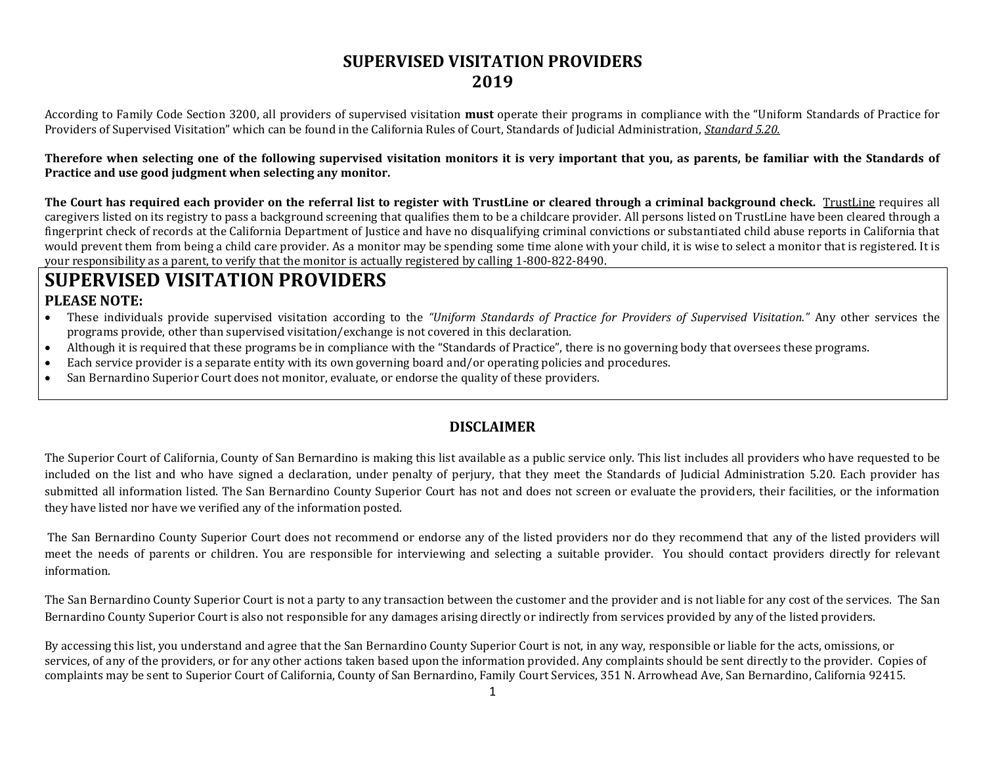#### **SUPERVISED VISITATION PROVIDERS 2019**

According to Family Code Section 3200, all providers of supervised visitation **must** operate their programs in compliance with the "Uniform Standards of Practice for Providers of Supervised Visitation" which can be found in the California Rules of Court, Standards of Judicial Administration, *Standard 5.20.*

**Therefore when selecting one of the following supervised visitation monitors it is very important that you, as parents, be familiar with the Standards of Practice and use good judgment when selecting any monitor.**

**The Court has required each provider on the referral list to register with TrustLine or cleared through a criminal background check.** TrustLine requires all caregivers listed on its registry to pass a background screening that qualifies them to be a childcare provider. All persons listed on TrustLine have been cleared through a fingerprint check of records at the California Department of Justice and have no disqualifying criminal convictions or substantiated child abuse reports in California that would prevent them from being a child care provider. As a monitor may be spending some time alone with your child, it is wise to select a monitor that is registered. It is your responsibility as a parent, to verify that the monitor is actually registered by calling 1-800-822-8490.

### **SUPERVISED VISITATION PROVIDERS PLEASE NOTE:**

- These individuals provide supervised visitation according to the *"Uniform Standards of Practice for Providers of Supervised Visitation."* Any other services the programs provide, other than supervised visitation/exchange is not covered in this declaration.
- Although it is required that these programs be in compliance with the "Standards of Practice", there is no governing body that oversees these programs.
- Each service provider is a separate entity with its own governing board and/or operating policies and procedures.
- San Bernardino Superior Court does not monitor, evaluate, or endorse the quality of these providers.

#### **DISCLAIMER**

The Superior Court of California, County of San Bernardino is making this list available as a public service only. This list includes all providers who have requested to be included on the list and who have signed a declaration, under penalty of perjury, that they meet the Standards of Judicial Administration 5.20. Each provider has submitted all information listed. The San Bernardino County Superior Court has not and does not screen or evaluate the providers, their facilities, or the information they have listed nor have we verified any of the information posted.

The San Bernardino County Superior Court does not recommend or endorse any of the listed providers nor do they recommend that any of the listed providers will meet the needs of parents or children. You are responsible for interviewing and selecting a suitable provider. You should contact providers directly for relevant information.

The San Bernardino County Superior Court is not a party to any transaction between the customer and the provider and is not liable for any cost of the services. The San Bernardino County Superior Court is also not responsible for any damages arising directly or indirectly from services provided by any of the listed providers.

By accessing this list, you understand and agree that the San Bernardino County Superior Court is not, in any way, responsible or liable for the acts, omissions, or services, of any of the providers, or for any other actions taken based upon the information provided. Any complaints should be sent directly to the provider. Copies of complaints may be sent to Superior Court of California, County of San Bernardino, Family Court Services, 351 N. Arrowhead Ave, San Bernardino, California 92415.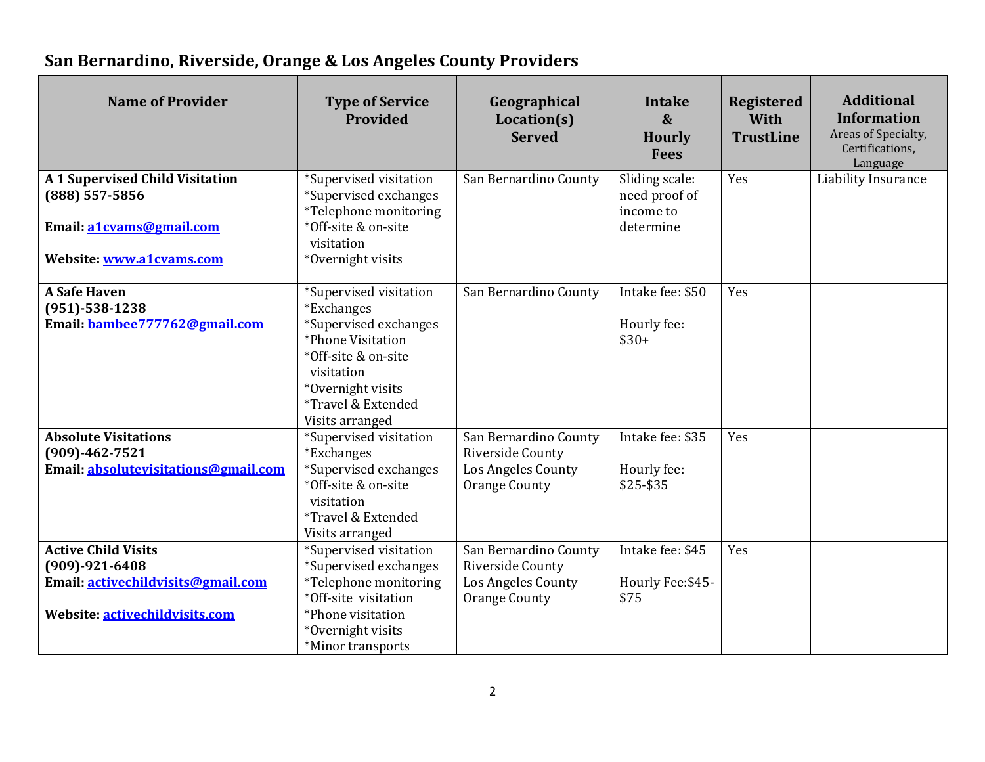# **San Bernardino, Riverside, Orange & Los Angeles County Providers**

| <b>Name of Provider</b>                                                                                                    | <b>Type of Service</b><br><b>Provided</b>                                                                                                                                                    | Geographical<br>Location(s)<br><b>Served</b>                                            | <b>Intake</b><br>$\boldsymbol{\&}$<br><b>Hourly</b><br><b>Fees</b> | <b>Registered</b><br>With<br><b>TrustLine</b> | <b>Additional</b><br><b>Information</b><br>Areas of Specialty,<br>Certifications,<br>Language |
|----------------------------------------------------------------------------------------------------------------------------|----------------------------------------------------------------------------------------------------------------------------------------------------------------------------------------------|-----------------------------------------------------------------------------------------|--------------------------------------------------------------------|-----------------------------------------------|-----------------------------------------------------------------------------------------------|
| A 1 Supervised Child Visitation<br>(888) 557-5856<br>Email: a1cvams@gmail.com<br>Website: www.a1cvams.com                  | *Supervised visitation<br>*Supervised exchanges<br>*Telephone monitoring<br>*Off-site & on-site<br>visitation<br>*Overnight visits                                                           | San Bernardino County                                                                   | Sliding scale:<br>need proof of<br>income to<br>determine          | Yes                                           | Liability Insurance                                                                           |
| <b>A Safe Haven</b><br>$(951) - 538 - 1238$<br>Email: bambee777762@gmail.com                                               | *Supervised visitation<br><i>*Exchanges</i><br>*Supervised exchanges<br>*Phone Visitation<br>*Off-site & on-site<br>visitation<br>*Overnight visits<br>*Travel & Extended<br>Visits arranged | San Bernardino County                                                                   | Intake fee: \$50<br>Hourly fee:<br>$$30+$                          | Yes                                           |                                                                                               |
| <b>Absolute Visitations</b><br>$(909) - 462 - 7521$<br>Email: absolutevisitations@gmail.com                                | *Supervised visitation<br><i>*Exchanges</i><br>*Supervised exchanges<br>*Off-site & on-site<br>visitation<br>*Travel & Extended<br>Visits arranged                                           | San Bernardino County<br>Riverside County<br>Los Angeles County<br><b>Orange County</b> | Intake fee: \$35<br>Hourly fee:<br>\$25-\$35                       | Yes                                           |                                                                                               |
| <b>Active Child Visits</b><br>$(909) - 921 - 6408$<br>Email: activechildvisits@gmail.com<br>Website: activechildvisits.com | *Supervised visitation<br>*Supervised exchanges<br>*Telephone monitoring<br>*Off-site visitation<br>*Phone visitation<br>*Overnight visits<br>*Minor transports                              | San Bernardino County<br>Riverside County<br>Los Angeles County<br><b>Orange County</b> | Intake fee: \$45<br>Hourly Fee: \$45-<br>\$75                      | Yes                                           |                                                                                               |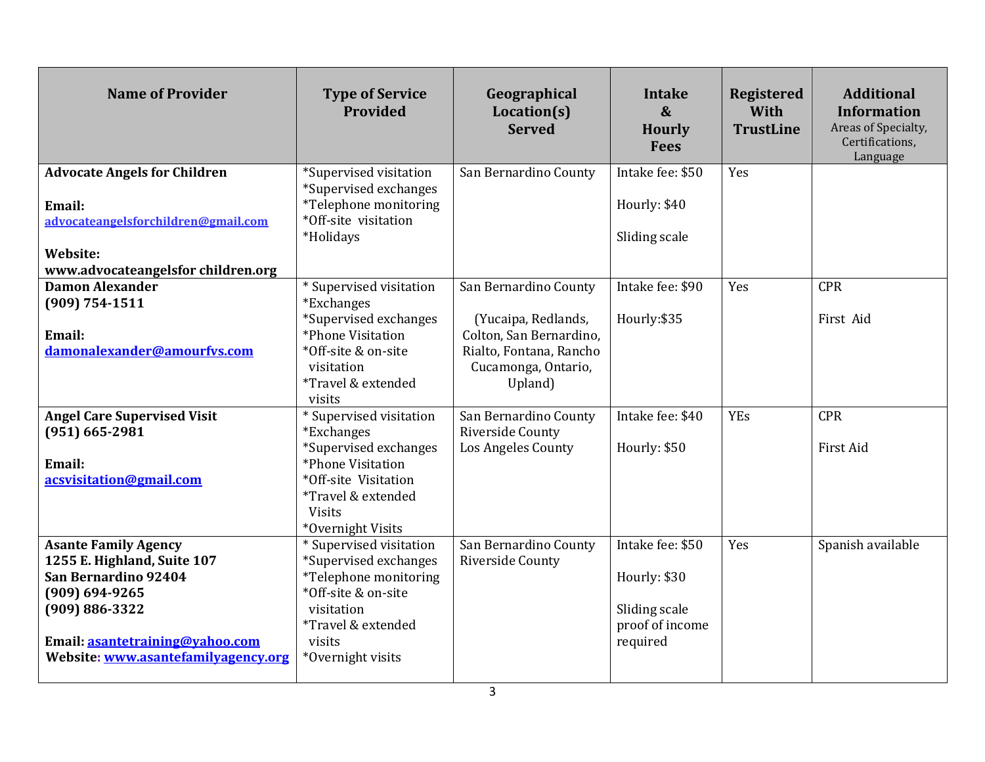| <b>Name of Provider</b>                                                                                                                                                                                  | <b>Type of Service</b><br>Provided                                                                                                                                                | Geographical<br>Location(s)<br><b>Served</b>                                                                                         | <b>Intake</b><br>$\boldsymbol{\&}$<br><b>Hourly</b><br><b>Fees</b>               | <b>Registered</b><br>With<br><b>TrustLine</b> | <b>Additional</b><br><b>Information</b><br>Areas of Specialty,<br>Certifications,<br>Language |
|----------------------------------------------------------------------------------------------------------------------------------------------------------------------------------------------------------|-----------------------------------------------------------------------------------------------------------------------------------------------------------------------------------|--------------------------------------------------------------------------------------------------------------------------------------|----------------------------------------------------------------------------------|-----------------------------------------------|-----------------------------------------------------------------------------------------------|
| <b>Advocate Angels for Children</b><br>Email:<br>advocateangelsforchildren@gmail.com<br>Website:<br>www.advocateangelsfor children.org                                                                   | *Supervised visitation<br>*Supervised exchanges<br>*Telephone monitoring<br>*Off-site visitation<br>*Holidays                                                                     | San Bernardino County                                                                                                                | Intake fee: \$50<br>Hourly: \$40<br>Sliding scale                                | Yes                                           |                                                                                               |
| <b>Damon Alexander</b><br>$(909) 754 - 1511$<br>Email:<br>damonalexander@amourfvs.com                                                                                                                    | * Supervised visitation<br><i>*Exchanges</i><br>*Supervised exchanges<br>*Phone Visitation<br>*Off-site & on-site<br>visitation<br>*Travel & extended<br>visits                   | San Bernardino County<br>(Yucaipa, Redlands,<br>Colton, San Bernardino,<br>Rialto, Fontana, Rancho<br>Cucamonga, Ontario,<br>Upland) | Intake fee: \$90<br>Hourly:\$35                                                  | Yes                                           | <b>CPR</b><br>First Aid                                                                       |
| <b>Angel Care Supervised Visit</b><br>$(951) 665 - 2981$<br>Email:<br>acsvisitation@gmail.com                                                                                                            | *Supervised visitation<br><i>*Exchanges</i><br>*Supervised exchanges<br>*Phone Visitation<br>*Off-site Visitation<br><i>*Travel &amp; extended</i><br>Visits<br>*Overnight Visits | San Bernardino County<br>Riverside County<br><b>Los Angeles County</b>                                                               | Intake fee: \$40<br>Hourly: \$50                                                 | <b>YEs</b>                                    | <b>CPR</b><br><b>First Aid</b>                                                                |
| <b>Asante Family Agency</b><br>1255 E. Highland, Suite 107<br>San Bernardino 92404<br>$(909) 694 - 9265$<br>$(909) 886 - 3322$<br>Email: asantetraining@vahoo.com<br>Website: www.asantefamilyagency.org | * Supervised visitation<br>*Supervised exchanges<br>*Telephone monitoring<br>*Off-site & on-site<br>visitation<br>*Travel & extended<br>visits<br>*Overnight visits               | San Bernardino County<br>Riverside County                                                                                            | Intake fee: \$50<br>Hourly: \$30<br>Sliding scale<br>proof of income<br>required | Yes                                           | Spanish available                                                                             |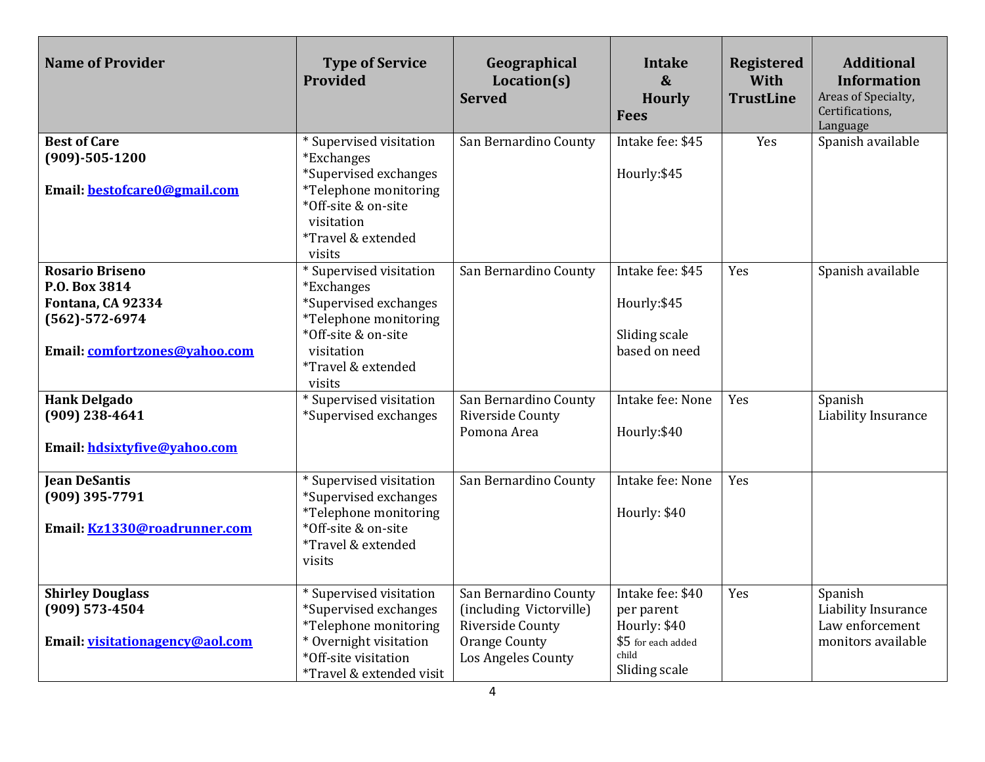| <b>Name of Provider</b>                                                                                               | <b>Type of Service</b><br>Provided                                                                                                                                             | Geographical<br>Location(s)<br><b>Served</b>                                                                       | <b>Intake</b><br>$\boldsymbol{\alpha}$<br><b>Hourly</b><br><b>Fees</b>                         | <b>Registered</b><br>With<br><b>TrustLine</b> | <b>Additional</b><br><b>Information</b><br>Areas of Specialty,<br>Certifications,<br>Language |
|-----------------------------------------------------------------------------------------------------------------------|--------------------------------------------------------------------------------------------------------------------------------------------------------------------------------|--------------------------------------------------------------------------------------------------------------------|------------------------------------------------------------------------------------------------|-----------------------------------------------|-----------------------------------------------------------------------------------------------|
| <b>Best of Care</b><br>$(909) - 505 - 1200$<br>Email: bestofcare0@gmail.com                                           | * Supervised visitation<br><i>*Exchanges</i><br>*Supervised exchanges<br>*Telephone monitoring<br>*Off-site & on-site<br>visitation<br><i>*Travel &amp; extended</i><br>visits | San Bernardino County                                                                                              | Intake fee: \$45<br>Hourly: \$45                                                               | Yes                                           | Spanish available                                                                             |
| <b>Rosario Briseno</b><br>P.O. Box 3814<br>Fontana, CA 92334<br>$(562) - 572 - 6974$<br>Email: comfortzones@vahoo.com | *Supervised visitation<br>*Exchanges<br>*Supervised exchanges<br>*Telephone monitoring<br>*Off-site & on-site<br>visitation<br>*Travel & extended<br>visits                    | San Bernardino County                                                                                              | Intake fee: \$45<br>Hourly: \$45<br>Sliding scale<br>based on need                             | Yes                                           | Spanish available                                                                             |
| <b>Hank Delgado</b><br>$(909)$ 238-4641<br>Email: hdsixtyfive@vahoo.com                                               | * Supervised visitation<br>*Supervised exchanges                                                                                                                               | San Bernardino County<br>Riverside County<br>Pomona Area                                                           | Intake fee: None<br>Hourly:\$40                                                                | Yes                                           | Spanish<br>Liability Insurance                                                                |
| <b>Jean DeSantis</b><br>(909) 395-7791<br>Email: Kz1330@roadrunner.com                                                | * Supervised visitation<br>*Supervised exchanges<br>*Telephone monitoring<br>*Off-site & on-site<br>*Travel & extended<br>visits                                               | San Bernardino County                                                                                              | Intake fee: None<br>Hourly: \$40                                                               | Yes                                           |                                                                                               |
| <b>Shirley Douglass</b><br>(909) 573-4504<br>Email: visitationagency@aol.com                                          | * Supervised visitation<br>*Supervised exchanges<br>*Telephone monitoring<br>* Overnight visitation<br>*Off-site visitation<br>*Travel & extended visit                        | San Bernardino County<br>(including Victorville)<br>Riverside County<br><b>Orange County</b><br>Los Angeles County | Intake fee: \$40<br>per parent<br>Hourly: \$40<br>\$5 for each added<br>child<br>Sliding scale | Yes                                           | Spanish<br>Liability Insurance<br>Law enforcement<br>monitors available                       |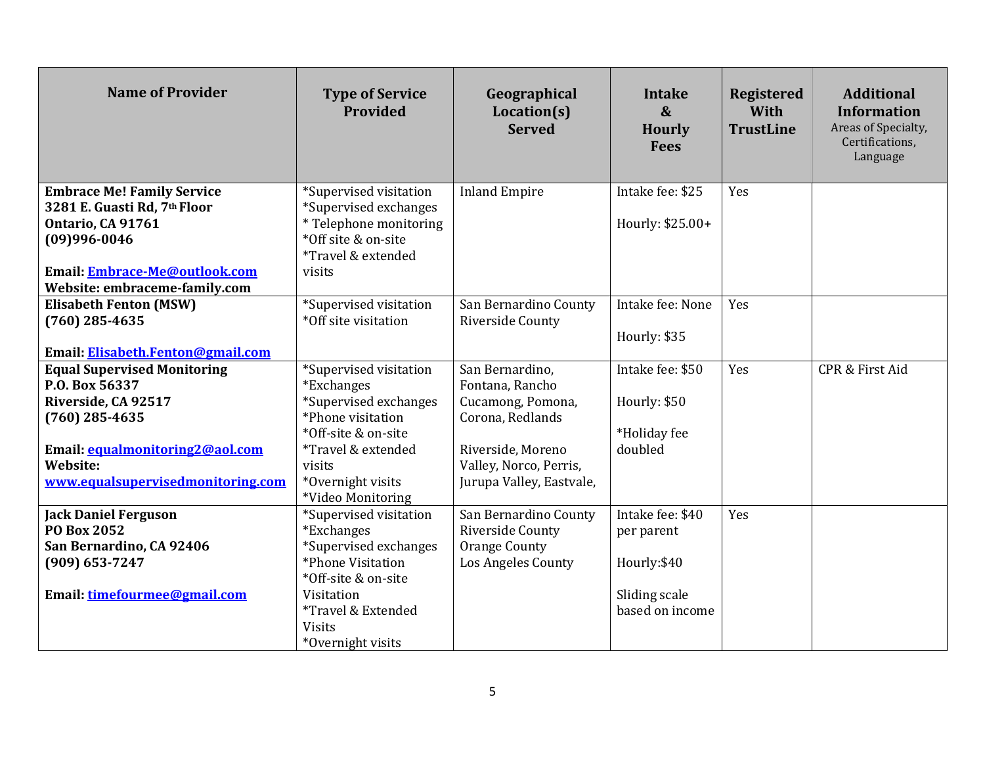| <b>Name of Provider</b>                                           | <b>Type of Service</b><br>Provided              | Geographical<br>Location(s)<br><b>Served</b> | <b>Intake</b><br>$\boldsymbol{\&}$<br><b>Hourly</b><br><b>Fees</b> | <b>Registered</b><br>With<br><b>TrustLine</b> | <b>Additional</b><br><b>Information</b><br>Areas of Specialty,<br>Certifications,<br>Language |
|-------------------------------------------------------------------|-------------------------------------------------|----------------------------------------------|--------------------------------------------------------------------|-----------------------------------------------|-----------------------------------------------------------------------------------------------|
| <b>Embrace Me! Family Service</b><br>3281 E. Guasti Rd, 7th Floor | *Supervised visitation<br>*Supervised exchanges | <b>Inland Empire</b>                         | Intake fee: \$25                                                   | Yes                                           |                                                                                               |
| <b>Ontario, CA 91761</b>                                          | * Telephone monitoring                          |                                              | Hourly: \$25.00+                                                   |                                               |                                                                                               |
| (09)996-0046                                                      | *Off site & on-site                             |                                              |                                                                    |                                               |                                                                                               |
|                                                                   | *Travel & extended                              |                                              |                                                                    |                                               |                                                                                               |
| Email: Embrace-Me@outlook.com                                     | visits                                          |                                              |                                                                    |                                               |                                                                                               |
| Website: embraceme-family.com                                     |                                                 |                                              |                                                                    |                                               |                                                                                               |
| <b>Elisabeth Fenton (MSW)</b>                                     | *Supervised visitation                          | San Bernardino County                        | Intake fee: None                                                   | Yes                                           |                                                                                               |
| $(760)$ 285-4635                                                  | *Off site visitation                            | Riverside County                             |                                                                    |                                               |                                                                                               |
|                                                                   |                                                 |                                              | Hourly: \$35                                                       |                                               |                                                                                               |
| Email: Elisabeth.Fenton@gmail.com                                 |                                                 |                                              |                                                                    |                                               |                                                                                               |
| <b>Equal Supervised Monitoring</b>                                | *Supervised visitation                          | San Bernardino,                              | Intake fee: \$50                                                   | Yes                                           | <b>CPR &amp; First Aid</b>                                                                    |
| P.O. Box 56337                                                    | <i>*Exchanges</i>                               | Fontana, Rancho                              |                                                                    |                                               |                                                                                               |
| Riverside, CA 92517                                               | *Supervised exchanges                           | Cucamong, Pomona,                            | Hourly: \$50                                                       |                                               |                                                                                               |
| $(760)$ 285-4635                                                  | *Phone visitation                               | Corona, Redlands                             |                                                                    |                                               |                                                                                               |
|                                                                   | *Off-site & on-site                             |                                              | *Holiday fee                                                       |                                               |                                                                                               |
| Email: equalmonitoring2@aol.com                                   | *Travel & extended                              | Riverside, Moreno                            | doubled                                                            |                                               |                                                                                               |
| Website:                                                          | visits                                          | Valley, Norco, Perris,                       |                                                                    |                                               |                                                                                               |
| www.equalsupervisedmonitoring.com                                 | *Overnight visits                               | Jurupa Valley, Eastvale,                     |                                                                    |                                               |                                                                                               |
|                                                                   | *Video Monitoring                               | San Bernardino County                        | Intake fee: \$40                                                   | Yes                                           |                                                                                               |
| <b>Jack Daniel Ferguson</b><br><b>PO Box 2052</b>                 | *Supervised visitation<br><i>*Exchanges</i>     | Riverside County                             |                                                                    |                                               |                                                                                               |
| San Bernardino, CA 92406                                          | *Supervised exchanges                           | <b>Orange County</b>                         | per parent                                                         |                                               |                                                                                               |
| (909) 653-7247                                                    | *Phone Visitation                               | Los Angeles County                           | Hourly:\$40                                                        |                                               |                                                                                               |
|                                                                   | *Off-site & on-site                             |                                              |                                                                    |                                               |                                                                                               |
| Email: timefourmee@gmail.com                                      | Visitation                                      |                                              | Sliding scale                                                      |                                               |                                                                                               |
|                                                                   | *Travel & Extended                              |                                              | based on income                                                    |                                               |                                                                                               |
|                                                                   | <b>Visits</b>                                   |                                              |                                                                    |                                               |                                                                                               |
|                                                                   | *Overnight visits                               |                                              |                                                                    |                                               |                                                                                               |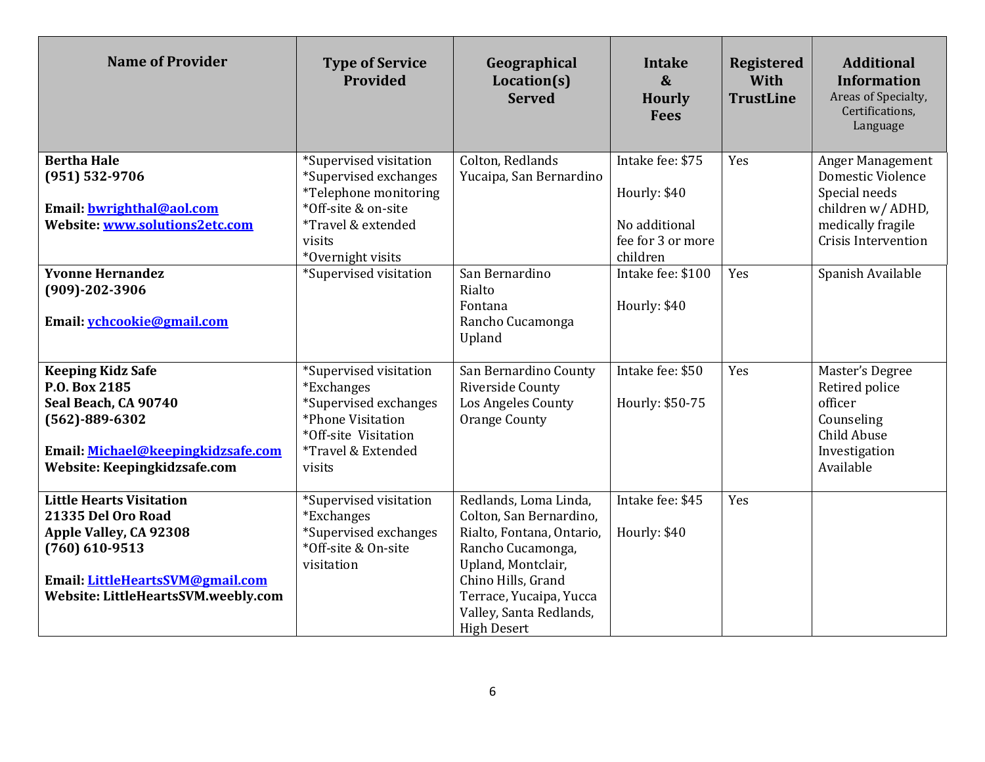| <b>Name of Provider</b>                                                                                                                                                        | <b>Type of Service</b><br>Provided                                                                                                                | Geographical<br>Location(s)<br><b>Served</b>                                                                                                                                                                               | <b>Intake</b><br>$\boldsymbol{\&}$<br><b>Hourly</b><br><b>Fees</b> | <b>Registered</b><br>With<br><b>TrustLine</b> | <b>Additional</b><br><b>Information</b><br>Areas of Specialty,<br>Certifications,<br>Language           |
|--------------------------------------------------------------------------------------------------------------------------------------------------------------------------------|---------------------------------------------------------------------------------------------------------------------------------------------------|----------------------------------------------------------------------------------------------------------------------------------------------------------------------------------------------------------------------------|--------------------------------------------------------------------|-----------------------------------------------|---------------------------------------------------------------------------------------------------------|
| <b>Bertha Hale</b>                                                                                                                                                             | *Supervised visitation<br>*Supervised exchanges                                                                                                   | Colton, Redlands                                                                                                                                                                                                           | Intake fee: \$75                                                   | Yes                                           | Anger Management<br><b>Domestic Violence</b>                                                            |
| (951) 532-9706<br>Email: bwrighthal@aol.com<br>Website: www.solutions2etc.com                                                                                                  | *Telephone monitoring<br>*Off-site & on-site<br>*Travel & extended<br>visits<br>*Overnight visits                                                 | Yucaipa, San Bernardino                                                                                                                                                                                                    | Hourly: \$40<br>No additional<br>fee for 3 or more<br>children     |                                               | Special needs<br>children w/ ADHD,<br>medically fragile<br>Crisis Intervention                          |
| <b>Yvonne Hernandez</b><br>$(909) - 202 - 3906$<br>Email: vchcookie@gmail.com                                                                                                  | *Supervised visitation                                                                                                                            | San Bernardino<br>Rialto<br>Fontana<br>Rancho Cucamonga<br>Upland                                                                                                                                                          | Intake fee: \$100<br>Hourly: \$40                                  | Yes                                           | Spanish Available                                                                                       |
| <b>Keeping Kidz Safe</b><br>P.O. Box 2185<br>Seal Beach, CA 90740<br>$(562) - 889 - 6302$<br>Email: Michael@keepingkidzsafe.com<br>Website: Keepingkidzsafe.com                | *Supervised visitation<br><i>*Exchanges</i><br>*Supervised exchanges<br>*Phone Visitation<br>*Off-site Visitation<br>*Travel & Extended<br>visits | San Bernardino County<br>Riverside County<br>Los Angeles County<br><b>Orange County</b>                                                                                                                                    | Intake fee: \$50<br>Hourly: \$50-75                                | Yes                                           | Master's Degree<br>Retired police<br>officer<br>Counseling<br>Child Abuse<br>Investigation<br>Available |
| <b>Little Hearts Visitation</b><br>21335 Del Oro Road<br>Apple Valley, CA 92308<br>$(760)$ 610-9513<br>Email: LittleHeartsSVM@gmail.com<br>Website: LittleHeartsSVM.weebly.com | *Supervised visitation<br><i>*Exchanges</i><br>*Supervised exchanges<br>*Off-site & On-site<br>visitation                                         | Redlands, Loma Linda,<br>Colton, San Bernardino,<br>Rialto, Fontana, Ontario,<br>Rancho Cucamonga,<br>Upland, Montclair,<br>Chino Hills, Grand<br>Terrace, Yucaipa, Yucca<br>Valley, Santa Redlands,<br><b>High Desert</b> | Intake fee: \$45<br>Hourly: \$40                                   | Yes                                           |                                                                                                         |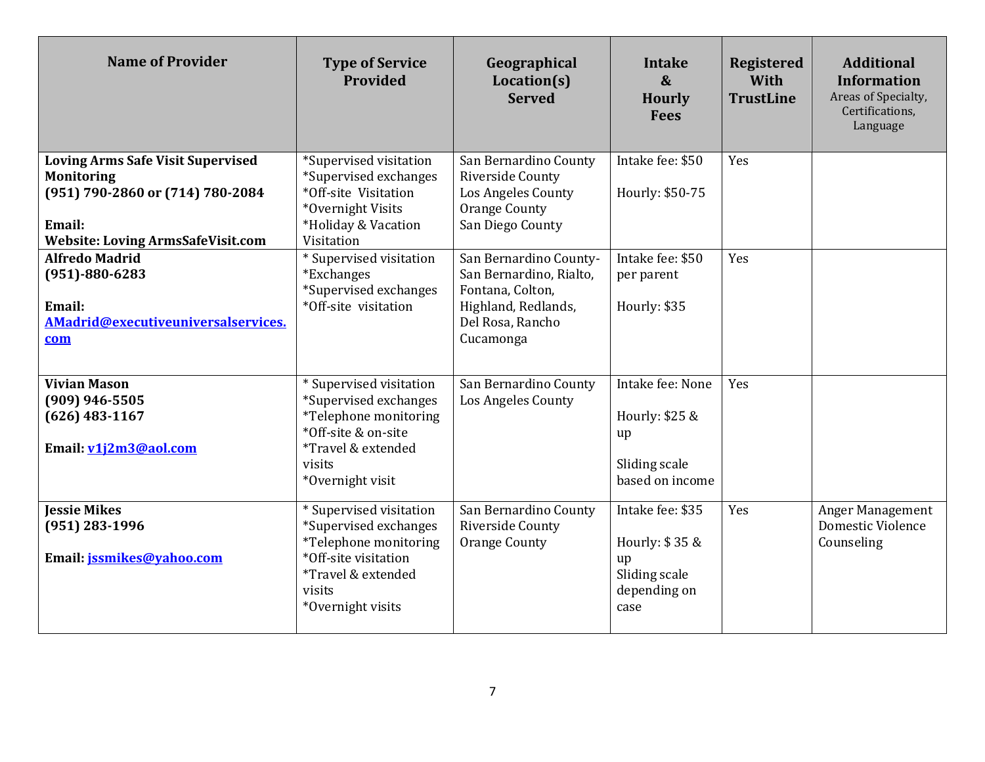| <b>Name of Provider</b>                                                                                                                                 | <b>Type of Service</b><br><b>Provided</b>                                                                                                              | Geographical<br>Location(s)<br><b>Served</b>                                                                                  | <b>Intake</b><br>$\boldsymbol{\&}$<br><b>Hourly</b><br><b>Fees</b>                | <b>Registered</b><br>With<br><b>TrustLine</b> | <b>Additional</b><br><b>Information</b><br>Areas of Specialty,<br>Certifications,<br>Language |
|---------------------------------------------------------------------------------------------------------------------------------------------------------|--------------------------------------------------------------------------------------------------------------------------------------------------------|-------------------------------------------------------------------------------------------------------------------------------|-----------------------------------------------------------------------------------|-----------------------------------------------|-----------------------------------------------------------------------------------------------|
| <b>Loving Arms Safe Visit Supervised</b><br><b>Monitoring</b><br>(951) 790-2860 or (714) 780-2084<br>Email:<br><b>Website: Loving ArmsSafeVisit.com</b> | *Supervised visitation<br>*Supervised exchanges<br>*Off-site Visitation<br>*Overnight Visits<br>*Holiday & Vacation<br>Visitation                      | San Bernardino County<br>Riverside County<br><b>Los Angeles County</b><br>Orange County<br>San Diego County                   | Intake fee: \$50<br>Hourly: \$50-75                                               | Yes                                           |                                                                                               |
| <b>Alfredo Madrid</b><br>$(951) - 880 - 6283$<br>Email:<br>AMadrid@executiveuniversalservices.<br>com                                                   | * Supervised visitation<br><i>*Exchanges</i><br>*Supervised exchanges<br>*Off-site visitation                                                          | San Bernardino County-<br>San Bernardino, Rialto,<br>Fontana, Colton,<br>Highland, Redlands,<br>Del Rosa, Rancho<br>Cucamonga | Intake fee: \$50<br>per parent<br>Hourly: \$35                                    | Yes                                           |                                                                                               |
| <b>Vivian Mason</b><br>$(909)$ 946-5505<br>$(626)$ 483-1167<br>Email: v1j2m3@aol.com                                                                    | * Supervised visitation<br>*Supervised exchanges<br>*Telephone monitoring<br>*Off-site & on-site<br>*Travel & extended<br>visits<br>*Overnight visit   | San Bernardino County<br>Los Angeles County                                                                                   | Intake fee: None<br>Hourly: \$25 &<br>up<br>Sliding scale<br>based on income      | Yes                                           |                                                                                               |
| <b>Jessie Mikes</b><br>$(951)$ 283-1996<br>Email: jssmikes@vahoo.com                                                                                    | * Supervised visitation<br>*Supervised exchanges<br>*Telephone monitoring<br>*Off-site visitation<br>*Travel & extended<br>visits<br>*Overnight visits | San Bernardino County<br>Riverside County<br>Orange County                                                                    | Intake fee: \$35<br>Hourly: \$35 &<br>up<br>Sliding scale<br>depending on<br>case | Yes                                           | Anger Management<br>Domestic Violence<br>Counseling                                           |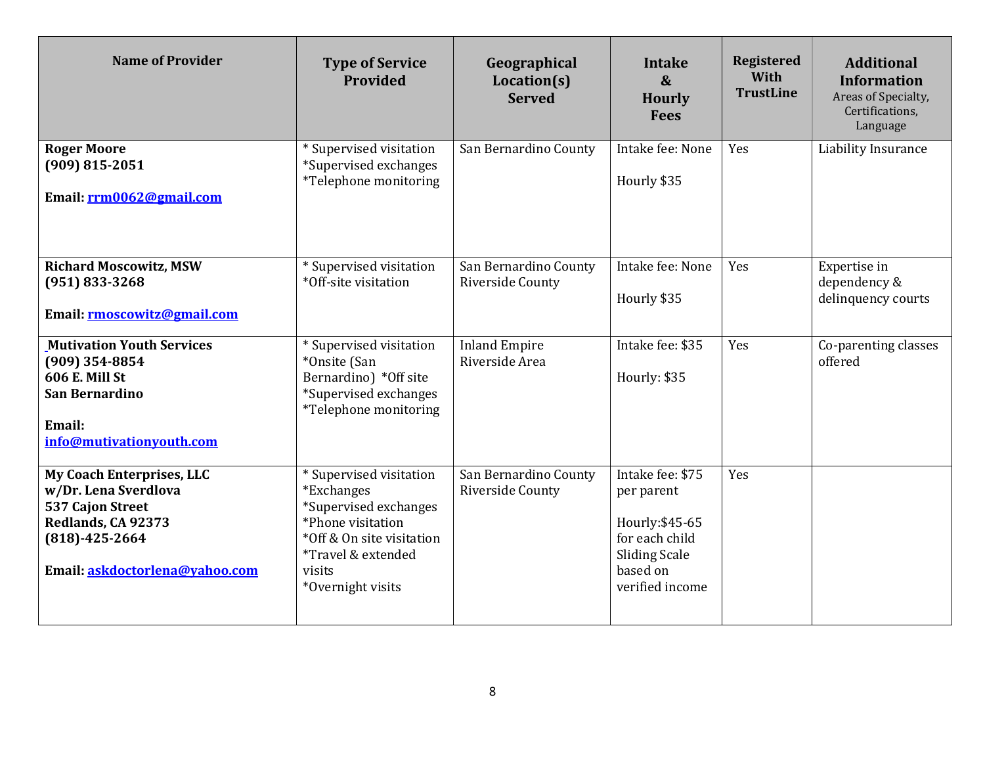| <b>Name of Provider</b>                                                                                                                           | <b>Type of Service</b><br>Provided                                                                                                                                                      | Geographical<br>Location(s)<br><b>Served</b> | <b>Intake</b><br>$\boldsymbol{\&}$<br><b>Hourly</b><br><b>Fees</b>                                                         | <b>Registered</b><br>With<br><b>TrustLine</b> | <b>Additional</b><br><b>Information</b><br>Areas of Specialty,<br>Certifications,<br>Language |
|---------------------------------------------------------------------------------------------------------------------------------------------------|-----------------------------------------------------------------------------------------------------------------------------------------------------------------------------------------|----------------------------------------------|----------------------------------------------------------------------------------------------------------------------------|-----------------------------------------------|-----------------------------------------------------------------------------------------------|
| <b>Roger Moore</b><br>$(909) 815 - 2051$<br>Email: rrm0062@gmail.com                                                                              | * Supervised visitation<br>*Supervised exchanges<br>*Telephone monitoring                                                                                                               | San Bernardino County                        | Intake fee: None<br>Hourly \$35                                                                                            | Yes                                           | Liability Insurance                                                                           |
| <b>Richard Moscowitz, MSW</b><br>$(951) 833 - 3268$<br>Email: rmoscowitz@gmail.com                                                                | * Supervised visitation<br>*Off-site visitation                                                                                                                                         | San Bernardino County<br>Riverside County    | Intake fee: None<br>Hourly \$35                                                                                            | Yes                                           | Expertise in<br>dependency &<br>delinquency courts                                            |
| <b>Mutivation Youth Services</b><br>$(909)$ 354-8854<br><b>606 E. Mill St</b><br><b>San Bernardino</b><br>Email:<br>info@mutivationyouth.com      | * Supervised visitation<br>*Onsite (San<br>Bernardino) *Off site<br>*Supervised exchanges<br><i>*Telephone monitoring</i>                                                               | <b>Inland Empire</b><br>Riverside Area       | Intake fee: \$35<br>Hourly: \$35                                                                                           | Yes                                           | Co-parenting classes<br>offered                                                               |
| My Coach Enterprises, LLC<br>w/Dr. Lena Sverdlova<br>537 Cajon Street<br>Redlands, CA 92373<br>$(818)-425-2664$<br>Email: askdoctorlena@vahoo.com | * Supervised visitation<br><i>*Exchanges</i><br>*Supervised exchanges<br>*Phone visitation<br>*Off & On site visitation<br><i>*Travel &amp; extended</i><br>visits<br>*Overnight visits | San Bernardino County<br>Riverside County    | Intake fee: \$75<br>per parent<br>Hourly: \$45-65<br>for each child<br><b>Sliding Scale</b><br>based on<br>verified income | Yes                                           |                                                                                               |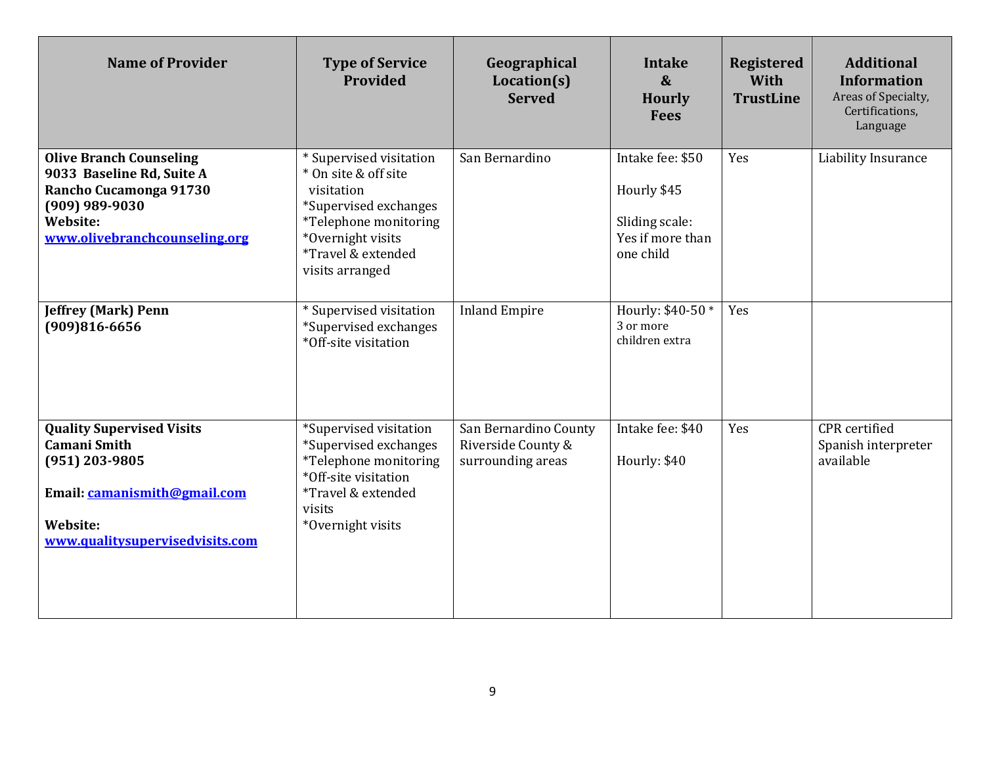| <b>Name of Provider</b>                                                                                                                                     | <b>Type of Service</b><br>Provided                                                                                                                                            | Geographical<br>Location(s)<br><b>Served</b>                     | <b>Intake</b><br>$\boldsymbol{\&}$<br><b>Hourly</b><br><b>Fees</b>                 | <b>Registered</b><br>With<br><b>TrustLine</b> | <b>Additional</b><br><b>Information</b><br>Areas of Specialty,<br>Certifications,<br>Language |
|-------------------------------------------------------------------------------------------------------------------------------------------------------------|-------------------------------------------------------------------------------------------------------------------------------------------------------------------------------|------------------------------------------------------------------|------------------------------------------------------------------------------------|-----------------------------------------------|-----------------------------------------------------------------------------------------------|
| <b>Olive Branch Counseling</b><br>9033 Baseline Rd, Suite A<br>Rancho Cucamonga 91730<br>(909) 989-9030<br><b>Website:</b><br>www.olivebranchcounseling.org | * Supervised visitation<br>* On site & off site<br>visitation<br>*Supervised exchanges<br>*Telephone monitoring<br>*Overnight visits<br>*Travel & extended<br>visits arranged | San Bernardino                                                   | Intake fee: \$50<br>Hourly \$45<br>Sliding scale:<br>Yes if more than<br>one child | Yes                                           | Liability Insurance                                                                           |
| <b>Jeffrey (Mark) Penn</b><br>$(909)816 - 6656$                                                                                                             | * Supervised visitation<br>*Supervised exchanges<br>*Off-site visitation                                                                                                      | <b>Inland Empire</b>                                             | Hourly: \$40-50 *<br>3 or more<br>children extra                                   | Yes                                           |                                                                                               |
| <b>Quality Supervised Visits</b><br><b>Camani Smith</b><br>(951) 203-9805<br>Email: camanismith@gmail.com<br>Website:<br>www.qualitysupervisedvisits.com    | *Supervised visitation<br>*Supervised exchanges<br>*Telephone monitoring<br>*Off-site visitation<br>*Travel & extended<br>visits<br>*Overnight visits                         | San Bernardino County<br>Riverside County &<br>surrounding areas | Intake fee: \$40<br>Hourly: \$40                                                   | Yes                                           | <b>CPR</b> certified<br>Spanish interpreter<br>available                                      |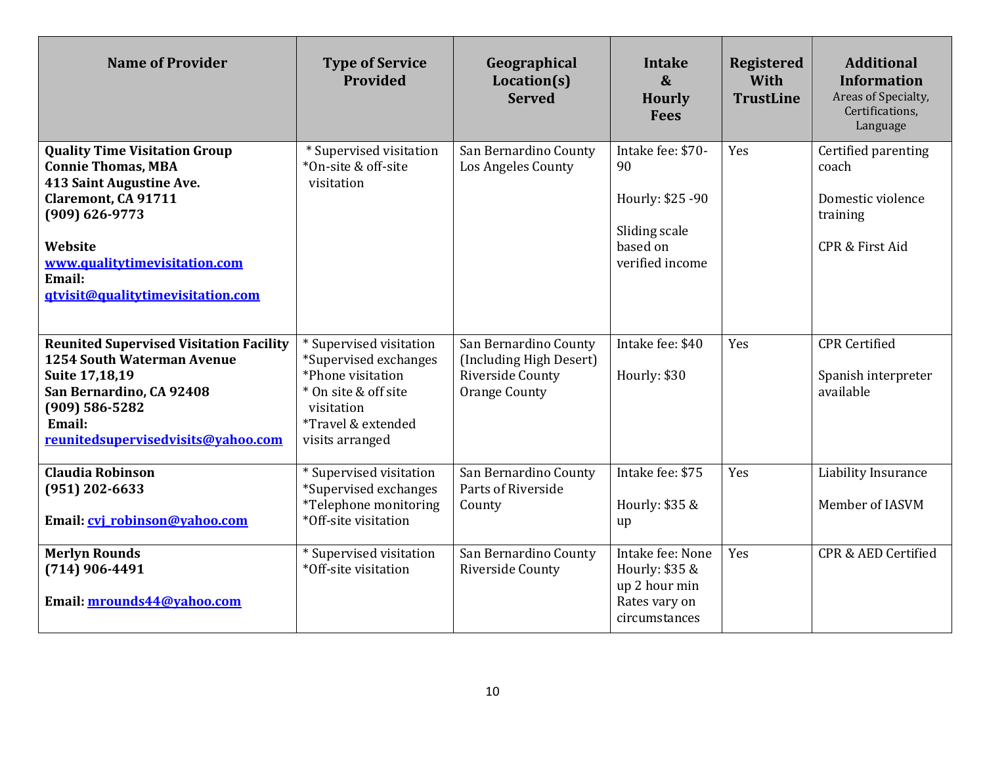| <b>Name of Provider</b>                                                                                                                                                                                                                      | <b>Type of Service</b><br>Provided                                                                                                                   | Geographical<br>Location(s)<br><b>Served</b>                                                 | Intake<br>$\boldsymbol{\&}$<br><b>Hourly</b><br><b>Fees</b>                                 | <b>Registered</b><br>With<br><b>TrustLine</b> | <b>Additional</b><br><b>Information</b><br>Areas of Specialty,<br>Certifications,<br>Language |
|----------------------------------------------------------------------------------------------------------------------------------------------------------------------------------------------------------------------------------------------|------------------------------------------------------------------------------------------------------------------------------------------------------|----------------------------------------------------------------------------------------------|---------------------------------------------------------------------------------------------|-----------------------------------------------|-----------------------------------------------------------------------------------------------|
| <b>Quality Time Visitation Group</b><br><b>Connie Thomas, MBA</b><br>413 Saint Augustine Ave.<br><b>Claremont, CA 91711</b><br>$(909) 626 - 9773$<br>Website<br>www.qualitytimevisitation.com<br>Email:<br>gtvisit@qualitytimevisitation.com | * Supervised visitation<br>*On-site & off-site<br>visitation                                                                                         | San Bernardino County<br>Los Angeles County                                                  | Intake fee: \$70-<br>90<br>Hourly: \$25 -90<br>Sliding scale<br>based on<br>verified income | Yes                                           | Certified parenting<br>coach<br>Domestic violence<br>training<br>CPR & First Aid              |
| <b>Reunited Supervised Visitation Facility</b><br>1254 South Waterman Avenue<br><b>Suite 17,18,19</b><br>San Bernardino, CA 92408<br>$(909) 586 - 5282$<br>Email:<br>reunitedsupervisedvisits@vahoo.com                                      | * Supervised visitation<br>*Supervised exchanges<br>*Phone visitation<br>* On site & off site<br>visitation<br>*Travel & extended<br>visits arranged | San Bernardino County<br>(Including High Desert)<br>Riverside County<br><b>Orange County</b> | Intake fee: \$40<br>Hourly: \$30                                                            | Yes                                           | <b>CPR</b> Certified<br>Spanish interpreter<br>available                                      |
| <b>Claudia Robinson</b><br>$(951)$ 202-6633<br>Email: cvi robinson@vahoo.com                                                                                                                                                                 | * Supervised visitation<br>*Supervised exchanges<br>*Telephone monitoring<br>*Off-site visitation                                                    | San Bernardino County<br>Parts of Riverside<br>County                                        | Intake fee: \$75<br>Hourly: \$35 &<br>up                                                    | Yes                                           | Liability Insurance<br>Member of IASVM                                                        |
| <b>Merlyn Rounds</b><br>$(714)$ 906-4491<br>Email: mrounds44@yahoo.com                                                                                                                                                                       | * Supervised visitation<br>*Off-site visitation                                                                                                      | San Bernardino County<br>Riverside County                                                    | Intake fee: None<br>Hourly: \$35 &<br>up 2 hour min<br>Rates vary on<br>circumstances       | Yes                                           | CPR & AED Certified                                                                           |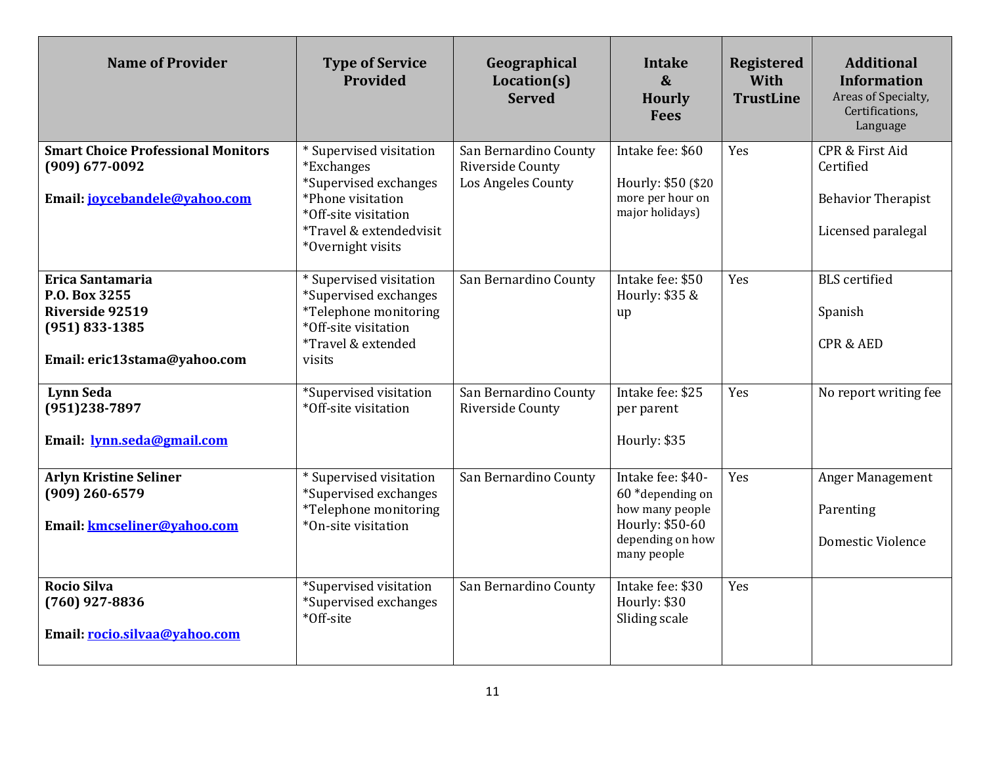| <b>Name of Provider</b>                                                                                    | <b>Type of Service</b><br>Provided                                                                                                                          | Geographical<br>Location(s)<br><b>Served</b>                    | Intake<br>$\boldsymbol{\&}$<br><b>Hourly</b><br><b>Fees</b>                                                    | <b>Registered</b><br>With<br><b>TrustLine</b> | <b>Additional</b><br><b>Information</b><br>Areas of Specialty,<br>Certifications,<br>Language |
|------------------------------------------------------------------------------------------------------------|-------------------------------------------------------------------------------------------------------------------------------------------------------------|-----------------------------------------------------------------|----------------------------------------------------------------------------------------------------------------|-----------------------------------------------|-----------------------------------------------------------------------------------------------|
| <b>Smart Choice Professional Monitors</b><br>(909) 677-0092<br>Email: jovcebandele@vahoo.com               | * Supervised visitation<br>*Exchanges<br>*Supervised exchanges<br>*Phone visitation<br>*Off-site visitation<br>*Travel & extendedvisit<br>*Overnight visits | San Bernardino County<br>Riverside County<br>Los Angeles County | Intake fee: \$60<br>Hourly: \$50 (\$20)<br>more per hour on<br>major holidays)                                 | Yes                                           | <b>CPR &amp; First Aid</b><br>Certified<br><b>Behavior Therapist</b><br>Licensed paralegal    |
| Erica Santamaria<br>P.O. Box 3255<br>Riverside 92519<br>$(951) 833 - 1385$<br>Email: eric13stama@yahoo.com | * Supervised visitation<br>*Supervised exchanges<br>*Telephone monitoring<br>*Off-site visitation<br><i>*Travel &amp; extended</i><br>visits                | San Bernardino County                                           | Intake fee: \$50<br>Hourly: \$35 &<br>up                                                                       | Yes                                           | <b>BLS</b> certified<br>Spanish<br><b>CPR &amp; AED</b>                                       |
| <b>Lynn Seda</b><br>(951)238-7897<br>Email: <b>lynn.seda@gmail.com</b>                                     | *Supervised visitation<br>*Off-site visitation                                                                                                              | San Bernardino County<br>Riverside County                       | Intake fee: \$25<br>per parent<br>Hourly: \$35                                                                 | Yes                                           | No report writing fee                                                                         |
| <b>Arlyn Kristine Seliner</b><br>$(909)$ 260-6579<br>Email: kmcseliner@vahoo.com                           | * Supervised visitation<br>*Supervised exchanges<br><i>*Telephone monitoring</i><br>*On-site visitation                                                     | San Bernardino County                                           | Intake fee: \$40-<br>60 *depending on<br>how many people<br>Hourly: \$50-60<br>depending on how<br>many people | Yes                                           | Anger Management<br>Parenting<br><b>Domestic Violence</b>                                     |
| Rocio Silva<br>$(760)$ 927-8836<br>Email: rocio.silvaa@vahoo.com                                           | *Supervised visitation<br>*Supervised exchanges<br>*Off-site                                                                                                | San Bernardino County                                           | Intake fee: \$30<br>Hourly: \$30<br>Sliding scale                                                              | Yes                                           |                                                                                               |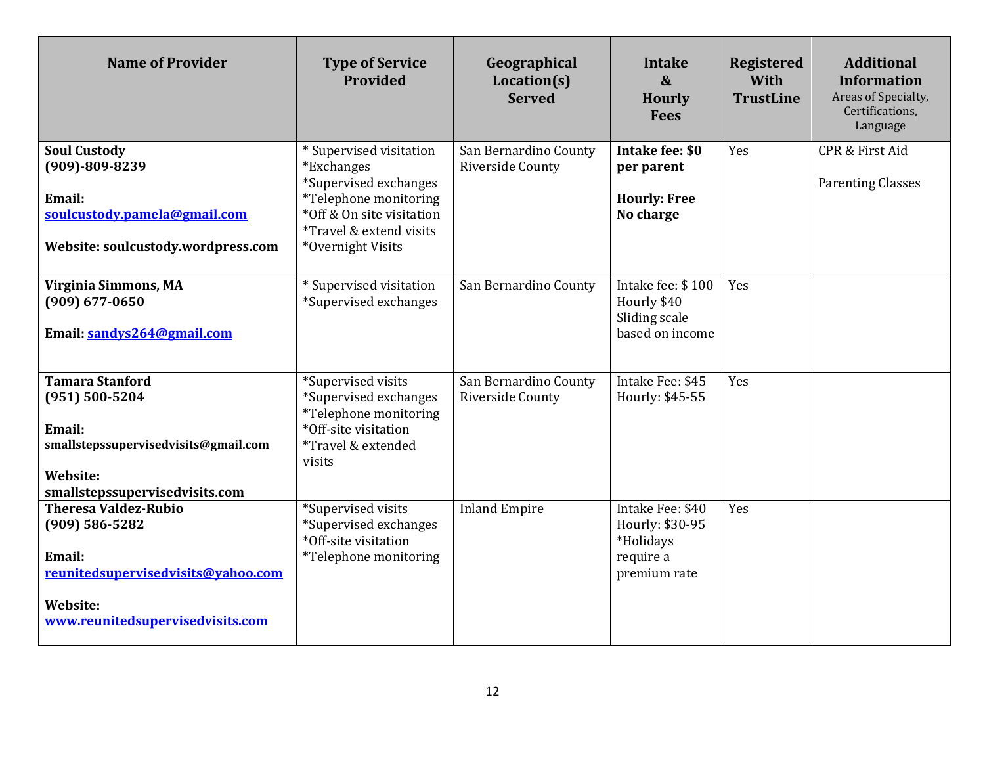| <b>Name of Provider</b>                                                                                                                                  | <b>Type of Service</b><br>Provided                                                                                                                                                            | Geographical<br>Location(s)<br><b>Served</b> | <b>Intake</b><br>$\boldsymbol{\&}$<br><b>Hourly</b><br><b>Fees</b>            | <b>Registered</b><br>With<br><b>TrustLine</b> | <b>Additional</b><br><b>Information</b><br>Areas of Specialty,<br>Certifications,<br>Language |
|----------------------------------------------------------------------------------------------------------------------------------------------------------|-----------------------------------------------------------------------------------------------------------------------------------------------------------------------------------------------|----------------------------------------------|-------------------------------------------------------------------------------|-----------------------------------------------|-----------------------------------------------------------------------------------------------|
| <b>Soul Custody</b><br>$(909) - 809 - 8239$<br>Email:<br>soulcustody.pamela@gmail.com<br>Website: soulcustody.wordpress.com                              | * Supervised visitation<br><i>*Exchanges</i><br>*Supervised exchanges<br><i>*Telephone monitoring</i><br>*Off & On site visitation<br><i>*Travel &amp; extend visits</i><br>*Overnight Visits | San Bernardino County<br>Riverside County    | Intake fee: \$0<br>per parent<br><b>Hourly: Free</b><br>No charge             | Yes                                           | CPR & First Aid<br><b>Parenting Classes</b>                                                   |
| Virginia Simmons, MA<br>$(909) 677 - 0650$<br>Email: sandys264@gmail.com                                                                                 | * Supervised visitation<br>*Supervised exchanges                                                                                                                                              | San Bernardino County                        | Intake fee: \$100<br>Hourly \$40<br>Sliding scale<br>based on income          | Yes                                           |                                                                                               |
| <b>Tamara Stanford</b><br>$(951) 500 - 5204$<br>Email:<br>smallstepssupervisedvisits@gmail.com<br>Website:<br>smallstepssupervisedvisits.com             | *Supervised visits<br>*Supervised exchanges<br>*Telephone monitoring<br>*Off-site visitation<br><i>*Travel &amp; extended</i><br>visits                                                       | San Bernardino County<br>Riverside County    | Intake Fee: \$45<br>Hourly: \$45-55                                           | Yes                                           |                                                                                               |
| <b>Theresa Valdez-Rubio</b><br>$(909) 586 - 5282$<br>Email:<br>reunitedsupervisedvisits@vahoo.com<br><b>Website:</b><br>www.reunitedsupervisedvisits.com | *Supervised visits<br>*Supervised exchanges<br>*Off-site visitation<br>*Telephone monitoring                                                                                                  | <b>Inland Empire</b>                         | Intake Fee: \$40<br>Hourly: \$30-95<br>*Holidays<br>require a<br>premium rate | Yes                                           |                                                                                               |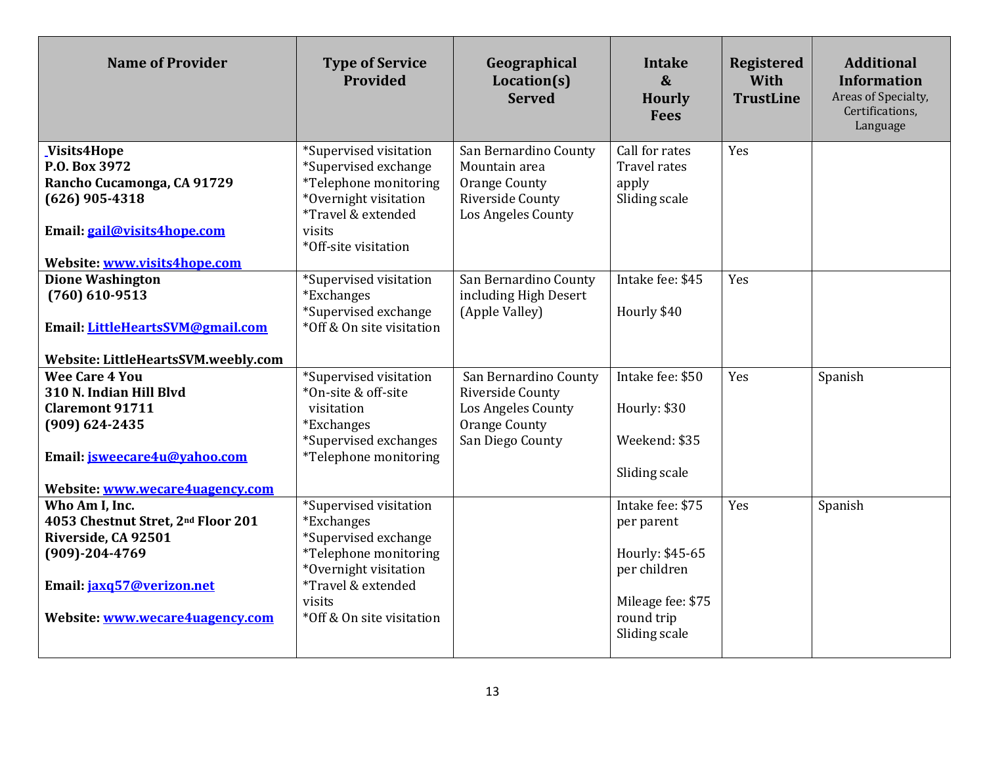| <b>Name of Provider</b>                                                                                                                                                    | <b>Type of Service</b><br><b>Provided</b>                                                                                                                                   | Geographical<br>Location(s)<br><b>Served</b>                                                                | Intake<br>$\boldsymbol{\&}$<br><b>Hourly</b><br><b>Fees</b>                                                           | <b>Registered</b><br>With<br><b>TrustLine</b> | <b>Additional</b><br><b>Information</b><br>Areas of Specialty,<br>Certifications,<br>Language |
|----------------------------------------------------------------------------------------------------------------------------------------------------------------------------|-----------------------------------------------------------------------------------------------------------------------------------------------------------------------------|-------------------------------------------------------------------------------------------------------------|-----------------------------------------------------------------------------------------------------------------------|-----------------------------------------------|-----------------------------------------------------------------------------------------------|
| Visits4Hope<br>P.O. Box 3972<br>Rancho Cucamonga, CA 91729<br>$(626)$ 905-4318<br>Email: gail@visits4hope.com<br>Website: www.visits4hope.com                              | *Supervised visitation<br>*Supervised exchange<br>*Telephone monitoring<br>*Overnight visitation<br>*Travel & extended<br>visits<br>*Off-site visitation                    | San Bernardino County<br>Mountain area<br><b>Orange County</b><br>Riverside County<br>Los Angeles County    | Call for rates<br><b>Travel rates</b><br>apply<br>Sliding scale                                                       | Yes                                           |                                                                                               |
| <b>Dione Washington</b><br>$(760)$ 610-9513<br>Email: LittleHeartsSVM@gmail.com<br>Website: LittleHeartsSVM.weebly.com                                                     | *Supervised visitation<br><i>*Exchanges</i><br>*Supervised exchange<br>*Off & On site visitation                                                                            | San Bernardino County<br>including High Desert<br>(Apple Valley)                                            | Intake fee: \$45<br>Hourly \$40                                                                                       | Yes                                           |                                                                                               |
| <b>Wee Care 4 You</b><br>310 N. Indian Hill Blvd<br><b>Claremont 91711</b><br>$(909) 624 - 2435$<br>Email: <i>isweecare4u@yahoo.com</i><br>Website: www.wecare4uagency.com | *Supervised visitation<br>*On-site & off-site<br>visitation<br><i>*Exchanges</i><br>*Supervised exchanges<br>*Telephone monitoring                                          | San Bernardino County<br>Riverside County<br>Los Angeles County<br><b>Orange County</b><br>San Diego County | Intake fee: \$50<br>Hourly: \$30<br>Weekend: \$35<br>Sliding scale                                                    | Yes                                           | Spanish                                                                                       |
| Who Am I, Inc.<br>4053 Chestnut Stret, 2nd Floor 201<br>Riverside, CA 92501<br>$(909) - 204 - 4769$<br>Email: jaxq57@verizon.net<br>Website: www.wecare4uagency.com        | *Supervised visitation<br>*Exchanges<br>*Supervised exchange<br>*Telephone monitoring<br>*Overnight visitation<br>*Travel & extended<br>visits<br>*Off & On site visitation |                                                                                                             | Intake fee: \$75<br>per parent<br>Hourly: \$45-65<br>per children<br>Mileage fee: \$75<br>round trip<br>Sliding scale | Yes                                           | Spanish                                                                                       |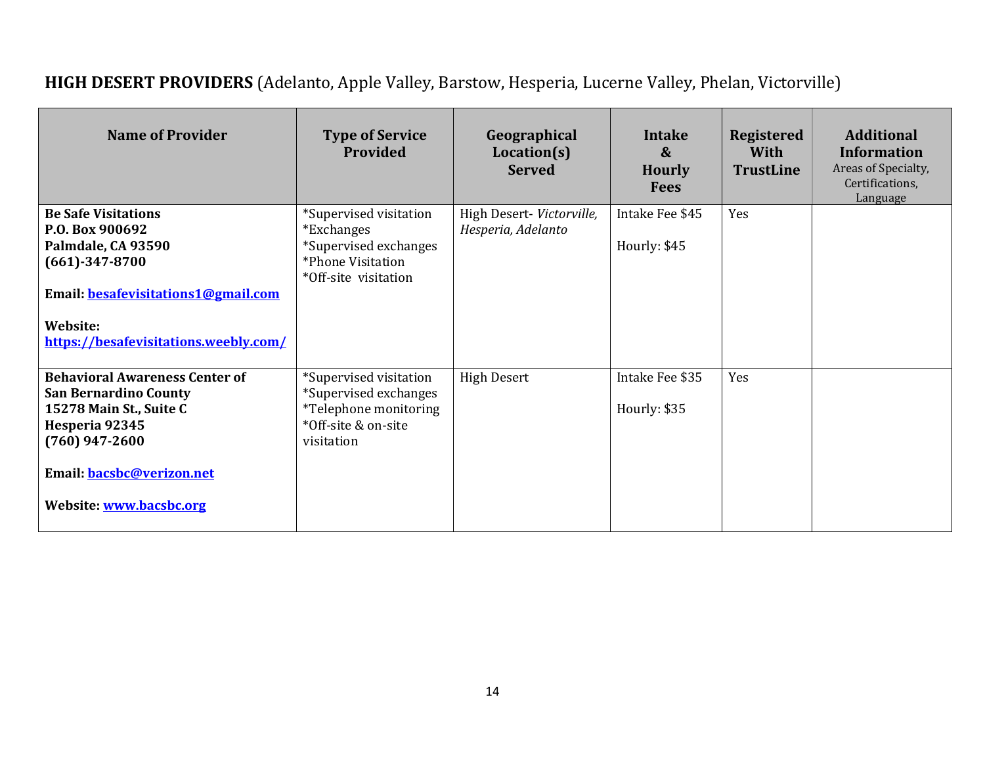# **HIGH DESERT PROVIDERS** (Adelanto, Apple Valley, Barstow, Hesperia, Lucerne Valley, Phelan, Victorville)

| <b>Name of Provider</b>                                                                                                                                                                        | <b>Type of Service</b><br>Provided                                                                                | Geographical<br>Location(s)<br><b>Served</b>    | <b>Intake</b><br>$\boldsymbol{\&}$<br><b>Hourly</b><br><b>Fees</b> | <b>Registered</b><br><b>With</b><br><b>TrustLine</b> | <b>Additional</b><br><b>Information</b><br>Areas of Specialty,<br>Certifications,<br>Language |
|------------------------------------------------------------------------------------------------------------------------------------------------------------------------------------------------|-------------------------------------------------------------------------------------------------------------------|-------------------------------------------------|--------------------------------------------------------------------|------------------------------------------------------|-----------------------------------------------------------------------------------------------|
| <b>Be Safe Visitations</b><br>P.O. Box 900692<br>Palmdale, CA 93590<br>$(661) - 347 - 8700$<br>Email: besafevisitations1@gmail.com<br>Website:<br>https://besafevisitations.weebly.com/        | *Supervised visitation<br><i>*Exchanges</i><br>*Supervised exchanges<br>*Phone Visitation<br>*Off-site visitation | High Desert- Victorville,<br>Hesperia, Adelanto | Intake Fee \$45<br>Hourly: \$45                                    | Yes                                                  |                                                                                               |
| <b>Behavioral Awareness Center of</b><br><b>San Bernardino County</b><br>15278 Main St., Suite C<br>Hesperia 92345<br>$(760)$ 947-2600<br>Email: bacsbc@verizon.net<br>Website: www.bacsbc.org | *Supervised visitation<br>*Supervised exchanges<br>*Telephone monitoring<br>*Off-site & on-site<br>visitation     | <b>High Desert</b>                              | Intake Fee \$35<br>Hourly: \$35                                    | Yes                                                  |                                                                                               |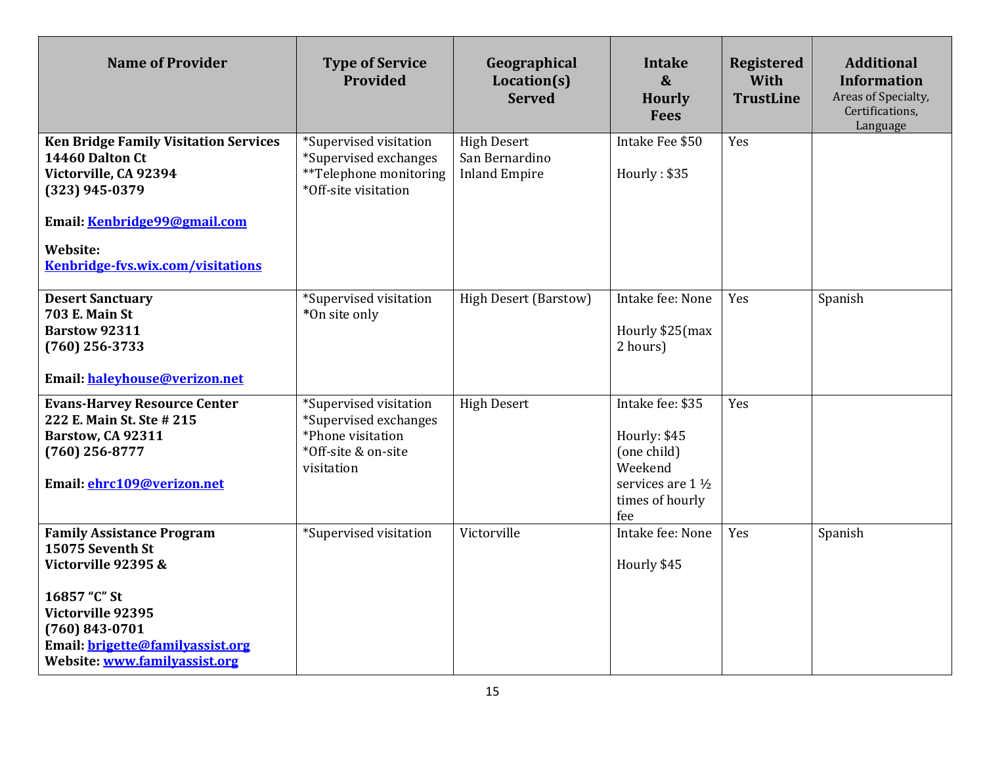| <b>Name of Provider</b>                                                                                                                                                                                     | <b>Type of Service</b><br>Provided                                                                        | Geographical<br>Location(s)<br><b>Served</b>                 | Intake<br>$\boldsymbol{\&}$<br><b>Hourly</b><br><b>Fees</b>                                                | <b>Registered</b><br>With<br><b>TrustLine</b> | <b>Additional</b><br><b>Information</b><br>Areas of Specialty,<br>Certifications,<br>Language |
|-------------------------------------------------------------------------------------------------------------------------------------------------------------------------------------------------------------|-----------------------------------------------------------------------------------------------------------|--------------------------------------------------------------|------------------------------------------------------------------------------------------------------------|-----------------------------------------------|-----------------------------------------------------------------------------------------------|
| <b>Ken Bridge Family Visitation Services</b><br>14460 Dalton Ct<br>Victorville, CA 92394<br>$(323)$ 945-0379<br>Email: Kenbridge99@gmail.com<br><b>Website:</b><br>Kenbridge-fvs.wix.com/visitations        | *Supervised visitation<br>*Supervised exchanges<br>**Telephone monitoring<br>*Off-site visitation         | <b>High Desert</b><br>San Bernardino<br><b>Inland Empire</b> | Intake Fee \$50<br>Hourly: \$35                                                                            | Yes                                           |                                                                                               |
| <b>Desert Sanctuary</b><br>703 E. Main St<br><b>Barstow 92311</b><br>$(760)$ 256-3733<br>Email: haleyhouse@verizon.net                                                                                      | *Supervised visitation<br>*On site only                                                                   | <b>High Desert (Barstow)</b>                                 | Intake fee: None<br>Hourly \$25(max<br>2 hours)                                                            | Yes                                           | Spanish                                                                                       |
| <b>Evans-Harvey Resource Center</b><br>222 E. Main St. Ste # 215<br>Barstow, CA 92311<br>$(760)$ 256-8777<br>Email: ehrc109@verizon.net                                                                     | *Supervised visitation<br>*Supervised exchanges<br>*Phone visitation<br>*Off-site & on-site<br>visitation | <b>High Desert</b>                                           | Intake fee: \$35<br>Hourly: \$45<br>(one child)<br>Weekend<br>services are 1 1/2<br>times of hourly<br>fee | Yes                                           |                                                                                               |
| <b>Family Assistance Program</b><br>15075 Seventh St<br>Victorville 92395 &<br>16857 "C" St<br>Victorville 92395<br>$(760) 843 - 0701$<br>Email: brigette@familyassist.org<br>Website: www.familyassist.org | *Supervised visitation                                                                                    | Victorville                                                  | Intake fee: None<br>Hourly \$45                                                                            | Yes                                           | Spanish                                                                                       |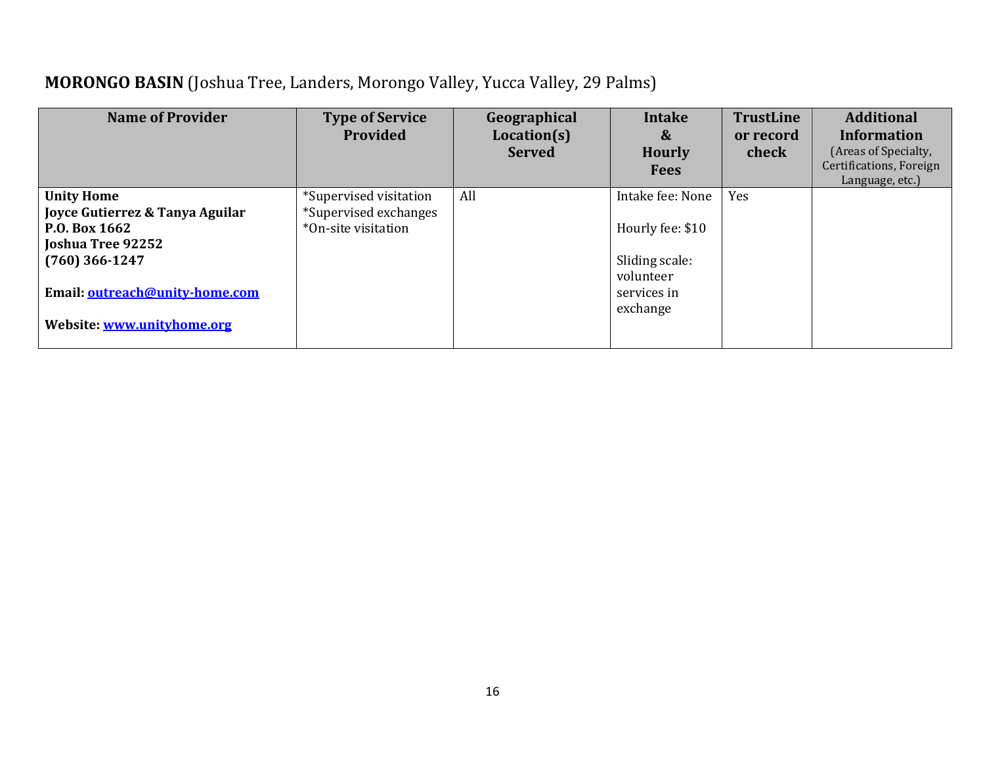## **MORONGO BASIN** (Joshua Tree, Landers, Morongo Valley, Yucca Valley, 29 Palms)

| <b>Name of Provider</b>                                                                               | <b>Type of Service</b><br>Provided                                     | Geographical<br>Location(s)<br><b>Served</b> | <b>Intake</b><br>&<br><b>Hourly</b><br><b>Fees</b>     | <b>TrustLine</b><br>or record<br>check | <b>Additional</b><br><b>Information</b><br>(Areas of Specialty,<br>Certifications, Foreign<br>Language, etc.) |
|-------------------------------------------------------------------------------------------------------|------------------------------------------------------------------------|----------------------------------------------|--------------------------------------------------------|----------------------------------------|---------------------------------------------------------------------------------------------------------------|
| <b>Unity Home</b><br>Joyce Gutierrez & Tanya Aguilar<br><b>P.O. Box 1662</b>                          | *Supervised visitation<br>*Supervised exchanges<br>*On-site visitation | All                                          | Intake fee: None<br>Hourly fee: \$10                   | Yes                                    |                                                                                                               |
| Joshua Tree 92252<br>$(760)$ 366-1247<br>Email: outreach@unity-home.com<br>Website: www.unityhome.org |                                                                        |                                              | Sliding scale:<br>volunteer<br>services in<br>exchange |                                        |                                                                                                               |